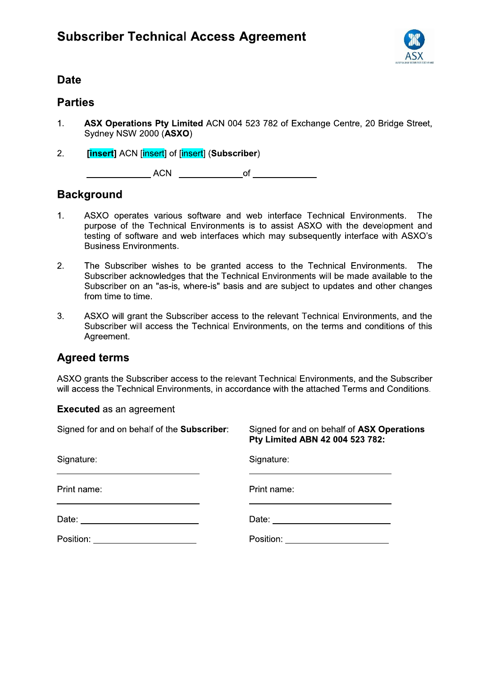

# Date and the contract of the contract of the contract of the contract of the contract of the contract of the contract of the contract of the contract of the contract of the contract of the contract of the contract of the c

- !!" #\$% &'\$ () \*+,-./01 1/2314 \$! 536701 8231124 897/19 8: \$!!! ;< \$ => ?6/@132A () ?6/@132A ;-
- [insert] ACN [insert] of [insert] (Subscriber)

 BBBBBBBBBBBBB BBBBBBBBBBBBB() BBBBBBBBBBBBB 

# Background

- 1. ASXO operates various software and web interface Technical Environments. The purpose of the Technical Environments is to assist ASXO with the development and testing of software and web interfaces which may subsequently interface with ASXO's Business Environments.
- 2. The Subscriber wishes to be granted access to the Technical Environments. The Subscriber acknowledges that the Technical Environments will be made available to the Subscriber on an "as-is, where-is" basis and are subject to updates and other changes from time to time.
- 3. ASXO will grant the Subscriber access to the relevant Technical Environments, and the Subscriber will access the Technical Environments, on the terms and conditions of this Agreement.

# **Agreed terms**

ASXO grants the Subscriber access to the relevant Technical Environments, and the Subscriber will access the Technical Environments, in accordance with the attached Terms and Conditions.

Executed as an agreement

| Signed for and on behalf of the Subscriber: | Signed for and on behalf of ASX Operations<br>Pty Limited ABN 42 004 523 782: |
|---------------------------------------------|-------------------------------------------------------------------------------|
| Signature:                                  | Signature:                                                                    |
| Print name:                                 | Print name:                                                                   |
| Date: _______________________               | Date: ________________________                                                |
| Position: ________________________          | Position: ________________________                                            |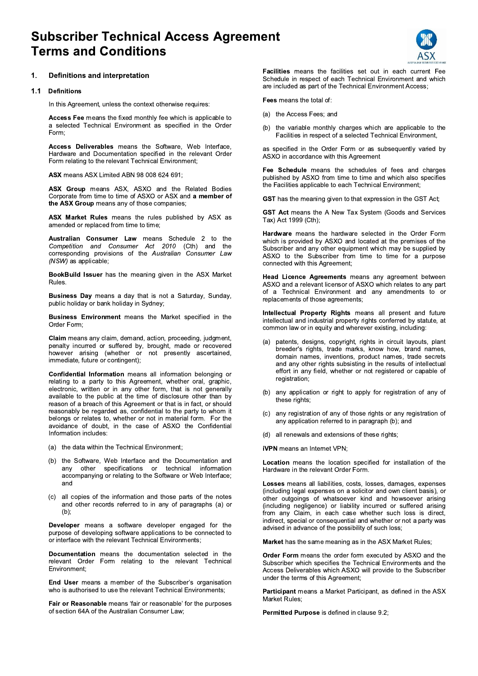# **Subscriber Technical Access Agreement Terms and Conditions**



### $\mathbf 1$ . **Definitions and interpretation**

### $1.1$ **Definitions**

In this Agreement, unless the context otherwise requires:

Access Fee means the fixed monthly fee which is applicable to a selected Technical Environment as specified in the Order Form:

Access Deliverables means the Software, Web Interface, Hardware and Documentation specified in the relevant Order Form relating to the relevant Technical Environment;

ASX means ASX Limited ABN 98 008 624 691;

ASX Group means ASX, ASXO and the Related Bodies Corporate from time to time of ASXO or ASX and a member of the ASX Group means any of those companies;

ASX Market Rules means the rules published by ASX as amended or replaced from time to time;

Australian Consumer Law means Schedule 2 to the Competition and Consumer Act 2010 (Cth) and the corresponding provisions of the Australian Consumer Law (NSW) as applicable;

BookBuild Issuer has the meaning given in the ASX Market **Rules** 

**Business Day** means a day that is not a Saturday, Sunday, public holiday or bank holiday in Sydney;

Business Environment means the Market specified in the Order Form:

Claim means any claim, demand, action, proceeding, judgment, penalty incurred or suffered by, brought, made or recovered however arising (whether or not presently ascertained, immediate, future or contingent);

Confidential Information means all information belonging or relating to a party to this Agreement, whether oral, graphic, electronic, written or in any other form, that is not generally available to the public at the time of disclosure other than by reason of a breach of this Agreement or that is in fact, or should reasonably be regarded as, confidential to the party to whom it belongs or relates to, whether or not in material form. For the avoidance of doubt, in the case of ASXO the Confidential Information includes:

- (a) the data within the Technical Environment;
- (b) the Software, Web Interface and the Documentation and other specifications or technical information anv accompanying or relating to the Software or Web Interface; and
- (c) all copies of the information and those parts of the notes and other records referred to in any of paragraphs (a) or  $(b)$ :

Developer means a software developer engaged for the purpose of developing software applications to be connected to or interface with the relevant Technical Environments;

Documentation means the documentation selected in the relevant Order Form relating to the relevant Technical Environment:

End User means a member of the Subscriber's organisation who is authorised to use the relevant Technical Environments;

Fair or Reasonable means 'fair or reasonable' for the purposes of section 64A of the Australian Consumer Law:

Facilities means the facilities set out in each current Fee Schedule in respect of each Technical Environment and which are included as part of the Technical Environment Access;

Fees means the total of:

- (a) the Access Fees; and
- (b) the variable monthly charges which are applicable to the Facilities in respect of a selected Technical Environment,

as specified in the Order Form or as subsequently varied by ASXO in accordance with this Agreement

Fee Schedule means the schedules of fees and charges published by ASXO from time to time and which also specifies the Facilities applicable to each Technical Environment;

GST has the meaning given to that expression in the GST Act;

GST Act means the A New Tax System (Goods and Services Tax) Act 1999 (Cth);

Hardware means the hardware selected in the Order Form which is provided by ASXO and located at the premises of the Subscriber and any other equipment which may be supplied by ASXO to the Subscriber from time to time for a purpose connected with this Agreement;

Head Licence Agreements means any agreement between ASXO and a relevant licensor of ASXO which relates to any part of a Technical Environment and any amendments to or replacements of those agreements;

Intellectual Property Rights means all present and future intellectual and industrial property rights conferred by statute, at common law or in equity and wherever existing, including:

- $(a)$ patents, designs, copyright, rights in circuit layouts, plant breeder's rights, trade marks, know how, brand names, domain names, inventions, product names, trade secrets and any other rights subsisting in the results of intellectual effort in any field, whether or not registered or capable of registration;
- (b) any application or right to apply for registration of any of these rights;
- any registration of any of those rights or any registration of  $(c)$ any application referred to in paragraph (b); and
- (d) all renewals and extensions of these rights;

iVPN means an Internet VPN;

Location means the location specified for installation of the Hardware in the relevant Order Form.

Losses means all liabilities, costs, losses, damages, expenses (including legal expenses on a solicitor and own client basis), or other outgoings of whatsoever kind and howsoever arising (including negligence) or liability incurred or suffered arising from any Claim, in each case whether such loss is direct, indirect, special or consequential and whether or not a party was advised in advance of the possibility of such loss;

Market has the same meaning as in the ASX Market Rules;

Order Form means the order form executed by ASXO and the Subscriber which specifies the Technical Environments and the Access Deliverables which ASXO will provide to the Subscriber under the terms of this Agreement;

Participant means a Market Participant, as defined in the ASX Market Rules;

Permitted Purpose is defined in clause 9.2;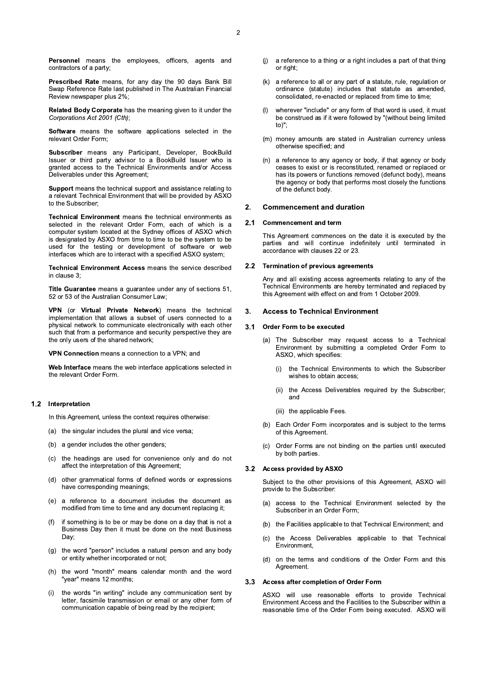Prescribed Rate means, for any day the 90 days Bank Bill Swap Reference Rate last published in The Australian Financial Review newspaper plus 2%;

Related Body Corporate has the meaning given to it under the Corporations Act 2001 (Cth):

Software means the software applications selected in the relevant Order Form;

Subscriber means any Participant, Developer, BookBuild Issuer or third party advisor to a BookBuild Issuer who is granted access to the Technical Environments and/or Access Deliverables under this Agreement;

Support means the technical support and assistance relating to a relevant Technical Environment that will be provided by ASXO to the Subscriber;

Technical Environment means the technical environments as selected in the relevant Order Form, each of which is a computer system located at the Sydney offices of ASXO which is designated by ASXO from time to time to be the system to be used for the testing or development of software or web interfaces which are to interact with a specified ASXO system;

Technical Environment Access means the service described in clause 3:

Title Guarantee means a quarantee under any of sections 51, 52 or 53 of the Australian Consumer Law;

VPN (or Virtual Private Network) means the technical implementation that allows a subset of users connected to a physical network to communicate electronically with each other such that from a performance and security perspective they are the only users of the shared network;

VPN Connection means a connection to a VPN; and

Web Interface means the web interface applications selected in the relevant Order Form.

# 1.2 Interpretation

In this Agreement, unless the context requires otherwise:

- (a) the singular includes the plural and vice versa;
- (b) a gender includes the other genders;
- the headings are used for convenience only and do not  $(c)$ affect the interpretation of this Agreement;
- other grammatical forms of defined words or expressions  $(d)$ have corresponding meanings;
- (e) a reference to a document includes the document as modified from time to time and any document replacing it;
- if something is to be or may be done on a day that is not a  $(f)$ Business Day then it must be done on the next Business Day;
- (g) the word "person" includes a natural person and any body or entity whether incorporated or not;
- (h) the word "month" means calendar month and the word "year" means 12 months;
- the words "in writing" include any communication sent by  $(i)$ letter, facsimile transmission or email or any other form of communication capable of being read by the recipient;
- a reference to a thing or a right includes a part of that thing  $(i)$ or right
- (k) a reference to all or any part of a statute, rule, regulation or ordinance (statute) includes that statute as amended, consolidated, re-enacted or replaced from time to time;
- wherever "include" or any form of that word is used, it must  $(1)$ be construed as if it were followed by "(without being limited  $to)$ ":
- (m) money amounts are stated in Australian currency unless otherwise specified; and
- (n) a reference to any agency or body, if that agency or body ceases to exist or is reconstituted, renamed or replaced or has its powers or functions removed (defunct body), means the agency or body that performs most closely the functions of the defunct body.

#### $2.$ **Commencement and duration**

#### $2.1$ **Commencement and term**

This Agreement commences on the date it is executed by the parties and will continue indefinitely until terminated in accordance with clauses 22 or 23.

#### $2.2$ **Termination of previous agreements**

Any and all existing access agreements relating to any of the Technical Environments are hereby terminated and replaced by this Agreement with effect on and from 1 October 2009.

#### $3.$ **Access to Technical Environment**

#### $3<sub>1</sub>$ Order Form to be executed

- (a) The Subscriber may request access to a Technical Environment by submitting a completed Order Form to ASXO, which specifies:
	- the Technical Environments to which the Subscriber  $(i)$ wishes to obtain access;
	- the Access Deliverables required by the Subscriber;  $(ii)$ and
	- (iii) the applicable Fees.
- (b) Each Order Form incorporates and is subject to the terms of this Agreement.
- Order Forms are not binding on the parties until executed  $(c)$ by both parties.

# 3.2 Access provided by ASXO

Subject to the other provisions of this Agreement, ASXO will provide to the Subscriber:

- access to the Technical Environment selected by the  $(a)$ Subscriber in an Order Form;
- (b) the Facilities applicable to that Technical Environment; and
- $(c)$ the Access Deliverables applicable to that Technical Environment,
- on the terms and conditions of the Order Form and this  $(d)$ Agreement.

# 3.3 Access after completion of Order Form

ASXO will use reasonable efforts to provide Technical Environment Access and the Facilities to the Subscriber within a reasonable time of the Order Form being executed. ASXO will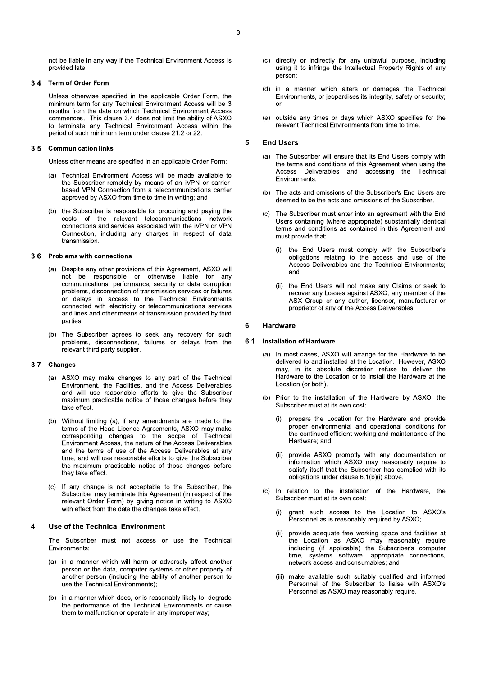not be liable in any way if the Technical Environment Access is provided late.

### Term of Order Form  $3.4$

Unless otherwise specified in the applicable Order Form, the minimum term for any Technical Environment Access will be 3 months from the date on which Technical Environment Access commences. This clause 3.4 does not limit the ability of ASXO to terminate any Technical Environment Access within the period of such minimum term under clause 21.2 or 22.

# 3.5 Communication links

Unless other means are specified in an applicable Order Form:

- (a) Technical Environment Access will be made available to the Subscriber remotely by means of an iVPN or carrierbased VPN Connection from a telecommunications carrier approved by ASXO from time to time in writing; and
- (b) the Subscriber is responsible for procuring and paying the costs of the relevant telecommunications network connections and services associated with the iVPN or VPN Connection, including any charges in respect of data transmission.

### 3.6 Problems with connections

- (a) Despite any other provisions of this Agreement, ASXO will not be responsible or otherwise liable for any communications, performance, security or data corruption problems, disconnection of transmission services or failures or delays in access to the Technical Environments connected with electricity or telecommunications services and lines and other means of transmission provided by third parties.
- (b) The Subscriber agrees to seek any recovery for such problems, disconnections, failures or delays from the relevant third party supplier.

# 3.7 Changes

- $(a)$ ASXO may make changes to any part of the Technical Environment, the Facilities, and the Access Deliverables and will use reasonable efforts to give the Subscriber maximum practicable notice of those changes before they take effect.
- (b) Without limiting (a), if any amendments are made to the terms of the Head Licence Agreements, ASXO may make corresponding changes to the scope of Technical Environment Access, the nature of the Access Deliverables and the terms of use of the Access Deliverables at any time, and will use reasonable efforts to give the Subscriber the maximum practicable notice of those changes before they take effect.
- If any change is not acceptable to the Subscriber, the  $(c)$ Subscriber may terminate this Agreement (in respect of the relevant Order Form) by giving notice in writing to ASXO with effect from the date the changes take effect.

### Use of the Technical Environment  $\boldsymbol{4}$ .

The Subscriber must not access or use the Technical Environments:

- (a) in a manner which will harm or adversely affect another person or the data, computer systems or other property of another person (including the ability of another person to use the Technical Environments);
- (b) in a manner which does, or is reasonably likely to, degrade the performance of the Technical Environments or cause them to malfunction or operate in any improper way;
- (c) directly or indirectly for any unlawful purpose, including using it to infringe the Intellectual Property Rights of any person:
- (d) in a manner which alters or damages the Technical Environments, or jeopardises its integrity, safety or security;
- (e) outside any times or days which ASXO specifies for the relevant Technical Environments from time to time.

#### **End Users** 5.

- (a) The Subscriber will ensure that its End Users comply with the terms and conditions of this Agreement when using the Access Deliverables and accessing the Technical **Environments**
- (b) The acts and omissions of the Subscriber's End Users are deemed to be the acts and omissions of the Subscriber.
- The Subscriber must enter into an agreement with the End Users containing (where appropriate) substantially identical<br>terms and conditions as contained in this Agreement and must provide that:
	- the End Users must comply with the Subscriber's obligations relating to the access and use of the Access Deliverables and the Technical Environments; and
	- the End Users will not make any Claims or seek to  $(ii)$ recover any Losses against ASXO, any member of the ASX Group or any author, licensor, manufacturer or proprietor of any of the Access Deliverables.

#### **Hardware** 6.

#### $6.1$ **Installation of Hardware**

- (a) In most cases, ASXO will arrange for the Hardware to be delivered to and installed at the Location. However, ASXO may, in its absolute discretion refuse to deliver the Hardware to the Location or to install the Hardware at the Location (or both).
- (b) Prior to the installation of the Hardware by ASXO, the Subscriber must at its own cost:
	- prepare the Location for the Hardware and provide  $(i)$ proper environmental and operational conditions for the continued efficient working and maintenance of the Hardware; and
	- provide ASXO promptly with any documentation or  $(ii)$ information which ASXO may reasonably require to satisfy itself that the Subscriber has complied with its obligations under clause 6.1(b)(i) above.
- (c) In relation to the installation of the Hardware, the Subscriber must at its own cost:
	- grant such access to the Location to ASXO's  $(i)$ Personnel as is reasonably required by ASXO;
	- provide adequate free working space and facilities at  $(ii)$ the Location as ASXO may reasonably require including (if applicable) the Subscriber's computer time, systems software, appropriate connections, network access and consumables; and
	- make available such suitably qualified and informed  $(iii)$ Personnel of the Subscriber to liaise with ASXO's Personnel as ASXO may reasonably require.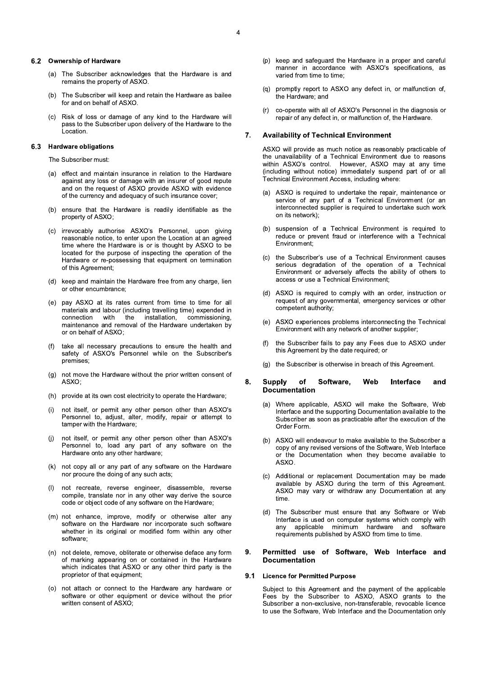# 6.2 Ownership of Hardware

- (a) The Subscriber acknowledges that the Hardware is and remains the property of ASXO.
- The Subscriber will keep and retain the Hardware as bailee  $(h)$ for and on behalf of ASXO.
- $(c)$ Risk of loss or damage of any kind to the Hardware will pass to the Subscriber upon delivery of the Hardware to the Location

#### 6.3 **Hardware obligations**

The Subscriber must:

- (a) effect and maintain insurance in relation to the Hardware against any loss or damage with an insurer of good repute and on the request of ASXO provide ASXO with evidence of the currency and adequacy of such insurance cover;
- (b) ensure that the Hardware is readily identifiable as the property of ASXO;
- (c) irrevocably authorise ASXO's Personnel, upon giving reasonable notice, to enter upon the Location at an agreed time where the Hardware is or is thought by ASXO to be located for the purpose of inspecting the operation of the Hardware or re-possessing that equipment on termination of this Agreement;
- (d) keep and maintain the Hardware free from any charge, lien or other encumbrance:
- (e) pay ASXO at its rates current from time to time for all materials and labour (including travelling time) expended in connection with the installation, commissioning. maintenance and removal of the Hardware undertaken by or on behalf of ASXO:
- (f) take all necessary precautions to ensure the health and safety of ASXO's Personnel while on the Subscriber's premises:
- (g) not move the Hardware without the prior written consent of ASXO:
- (h) provide at its own cost electricity to operate the Hardware;
- not itself, or permit any other person other than ASXO's Personnel to, adjust, alter, modify, repair or attempt to tamper with the Hardware;
- $(i)$ not itself, or permit any other person other than ASXO's Personnel to, load any part of any software on the Hardware onto any other hardware;
- (k) not copy all or any part of any software on the Hardware nor procure the doing of any such acts;
- not recreate, reverse engineer, disassemble, reverse  $(1)$ compile, translate nor in any other way derive the source code or object code of any software on the Hardware;
- (m) not enhance, improve, modify or otherwise alter any software on the Hardware nor incorporate such software whether in its original or modified form within any other software;
- (n) not delete, remove, obliterate or otherwise deface any form of marking appearing on or contained in the Hardware which indicates that ASXO or any other third party is the proprietor of that equipment;
- (o) not attach or connect to the Hardware any hardware or software or other equipment or device without the prior written consent of ASXO;
- (p) keep and safeguard the Hardware in a proper and careful manner in accordance with ASXO's specifications, as varied from time to time:
- $(q)$ promptly report to ASXO any defect in, or malfunction of, the Hardware; and
- co-operate with all of ASXO's Personnel in the diagnosis or  $(r)$ repair of any defect in, or malfunction of, the Hardware.

#### 7. **Availability of Technical Environment**

ASXO will provide as much notice as reasonably practicable of the unavailability of a Technical Environment due to reasons within ASXO's control. However, ASXO may at any time (including without notice) immediately suspend part of or all Technical Environment Access, including where:

- (a) ASXO is required to undertake the repair, maintenance or service of any part of a Technical Environment (or an interconnected supplier is required to undertake such work on its network):
- (b) suspension of a Technical Environment is required to reduce or prevent fraud or interference with a Technical Environment:
- (c) the Subscriber's use of a Technical Environment causes<br>serious degradation of the operation of a Technical Environment or adversely affects the ability of others to access or use a Technical Environment;
- (d) ASXO is required to comply with an order, instruction or request of any governmental, emergency services or other competent authority;
- ASXO experiences problems interconnecting the Technical  $(e)$ Environment with any network of another supplier;
- the Subscriber fails to pay any Fees due to ASXO under  $(f)$ this Agreement by the date required; or
- (g) the Subscriber is otherwise in breach of this Agreement.

#### 8. **Supply** of Software, Web Interface and **Documentation**

- Where applicable, ASXO will make the Software, Web  $(a)$ Interface and the supporting Documentation available to the Subscriber as soon as practicable after the execution of the Order Form.
- (b) ASXO will endeavour to make available to the Subscriber a copy of any revised versions of the Software, Web Interface or the Documentation when they become available to ASXO.
- (c) Additional or replacement Documentation may be made available by ASXO during the term of this Agreement. ASXO may vary or withdraw any Documentation at any time
- (d) The Subscriber must ensure that any Software or Web Interface is used on computer systems which comply with any applicable minimum hardware and software requirements published by ASXO from time to time.

### Permitted use of Software, Web Interface and  $\mathbf{Q}$ **Documentation**

### 9.1 Licence for Permitted Purpose

Subject to this Agreement and the payment of the applicable Fees by the Subscriber to ASXO, ASXO grants to the Subscriber a non-exclusive, non-transferable, revocable licence to use the Software. Web Interface and the Documentation only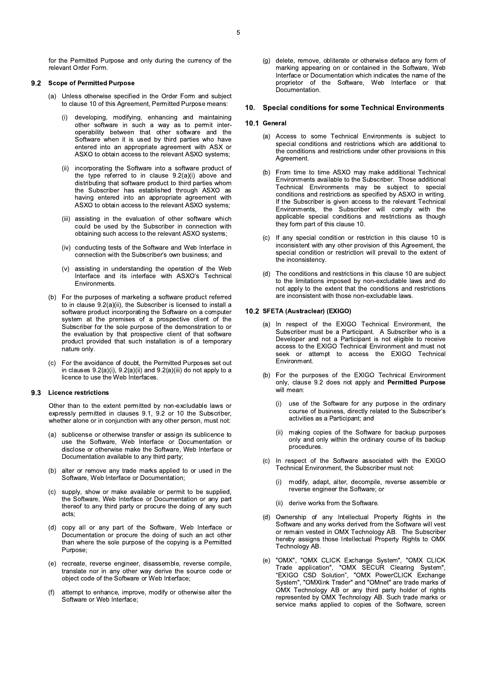#### **Scope of Permitted Purpose**  $9.2$

- (a) Unless otherwise specified in the Order Form and subject to clause 10 of this Agreement, Permitted Purpose means:
	- developing, modifying, enhancing and maintaining  $(i)$ other software in such a way as to permit interoperability between that other software and the Software when it is used by third parties who have entered into an appropriate agreement with ASX or ASXO to obtain access to the relevant ASXO systems;
	- incorporating the Software into a software product of  $(ii)$ the type referred to in clause 9.2(a)(i) above and distributing that software product to third parties whom the Subscriber has established through ASXO as having entered into an appropriate agreement with ASXO to obtain access to the relevant ASXO systems;
	- (iii) assisting in the evaluation of other software which could be used by the Subscriber in connection with obtaining such access to the relevant ASXO systems;
	- (iv) conducting tests of the Software and Web Interface in connection with the Subscriber's own business; and
	- assisting in understanding the operation of the Web  $(v)$ Interface and its interface with ASXO's Technical Environments.
- (b) For the purposes of marketing a software product referred to in clause  $9.2(a)(ii)$ , the Subscriber is licensed to install a software product incorporating the Software on a computer system at the premises of a prospective client of the Subscriber for the sole purpose of the demonstration to or the evaluation by that prospective client of that software product provided that such installation is of a temporary nature only.
- (c) For the avoidance of doubt, the Permitted Purposes set out in clauses  $9.2(a)(i)$ ,  $9.2(a)(ii)$  and  $9.2(a)(iii)$  do not apply to a licence to use the Web Interfaces.

### 9.3 Licence restrictions

Other than to the extent permitted by non-excludable laws or expressly permitted in clauses 9.1, 9.2 or 10 the Subscriber, whether alone or in conjunction with any other person, must not:

- (a) sublicense or otherwise transfer or assign its sublicence to use the Software, Web Interface or Documentation or disclose or otherwise make the Software, Web Interface or Documentation available to any third party;
- (b) alter or remove any trade marks applied to or used in the Software, Web Interface or Documentation;
- supply, show or make available or permit to be supplied.  $(c)$ the Software, Web Interface or Documentation or any part thereof to any third party or procure the doing of any such acts:
- copy all or any part of the Software. Web Interface or  $(d)$ Documentation or procure the doing of such an act other than where the sole purpose of the copying is a Permitted Purpose:
- (e) recreate, reverse engineer, disassemble, reverse compile, translate nor in any other way derive the source code or object code of the Software or Web Interface;
- $(f)$ attempt to enhance, improve, modify or otherwise alter the Software or Web Interface;

(g) delete, remove, obliterate or otherwise deface any form of marking appearing on or contained in the Software. Web Interface or Documentation which indicates the name of the proprietor of the Software, Web Interface or that Documentation.

### 10. Special conditions for some Technical Environments

### 10.1 General

- (a) Access to some Technical Environments is subject to special conditions and restrictions which are additional to the conditions and restrictions under other provisions in this Agreement.
- (b) From time to time ASXO may make additional Technical Environments available to the Subscriber. Those additional Technical Environments may be subject to special conditions and restrictions as specified by ASXO in writing. If the Subscriber is given access to the relevant Technical Environments, the Subscriber will comply with the applicable special conditions and restrictions as though they form part of this clause 10.
- (c) If any special condition or restriction in this clause 10 is inconsistent with any other provision of this Agreement, the special condition or restriction will prevail to the extent of the inconsistency.
- (d) The conditions and restrictions in this clause 10 are subject to the limitations imposed by non-excludable laws and do not apply to the extent that the conditions and restrictions are inconsistent with those non-excludable laws.

# 10.2 SFETA (Austraclear) (EXIGO)

- (a) In respect of the EXIGO Technical Environment, the Subscriber must be a Participant. A Subscriber who is a Developer and not a Participant is not eligible to receive access to the EXIGO Technical Environment and must not seek or attempt to access the EXIGO Technical Fnvironment.
- (b) For the purposes of the EXIGO Technical Environment only, clause 9.2 does not apply and Permitted Purpose will mean:
	- use of the Software for any purpose in the ordinary  $(i)$ course of business, directly related to the Subscriber's activities as a Participant; and
	- $(ii)$ making copies of the Software for backup purposes only and only within the ordinary course of its backup procedures.
- (c) In respect of the Software associated with the EXIGO Technical Environment, the Subscriber must not:
	- modify, adapt, alter, decompile, reverse assemble or  $(i)$ reverse engineer the Software: or
	- (ii) derive works from the Software.
- (d) Ownership of any Intellectual Property Rights in the Software and any works derived from the Software will vest or remain vested in OMX Technology AB. The Subscriber hereby assigns those Intellectual Property Rights to OMX Technology AB.
- "OMX", "OMX CLICK Exchange System", "OMX CLICK<br>Trade application", "OMX SECUR Clearing System",  $(e)$ "EXIGO CSD Solution", "OMX PowerCLICK Exchange System", "OMXlink Trader" and "OMnet" are trade marks of OMX Technology AB or any third party holder of rights represented by OMX Technology AB. Such trade marks or service marks applied to copies of the Software, screen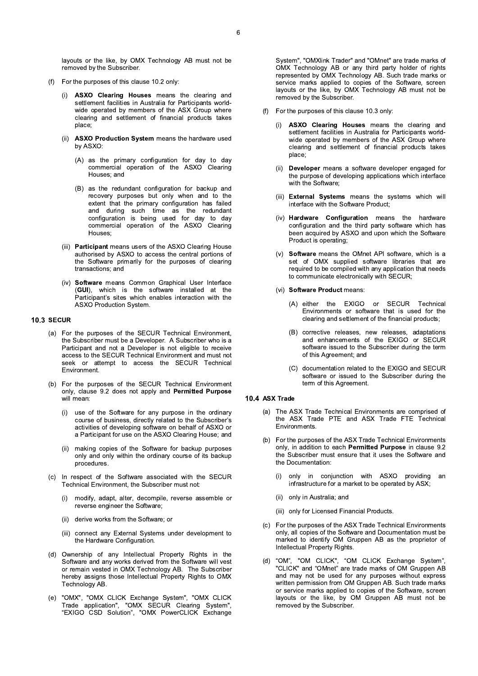layouts or the like, by OMX Technology AB must not be removed by the Subscriber.

- (f) For the purposes of this clause 10.2 only:
	- ASXO Clearing Houses means the clearing and  $(i)$ settlement facilities in Australia for Participants worldwide operated by members of the ASX Group where clearing and settlement of financial products takes place:
	- ASXO Production System means the hardware used  $(ii)$ by ASXO:
		- (A) as the primary configuration for day to day commercial operation of the ASXO Clearing Houses: and
		- (B) as the redundant configuration for backup and recovery purposes but only when and to the extent that the primary configuration has failed and during such time as the redundant configuration is being used for day to day commercial operation of the ASXO Clearing Houses:
	- (iii) Participant means users of the ASXO Clearing House authorised by ASXO to access the central portions of the Software primarily for the purposes of clearing transactions: and
	- (iv) Software means Common Graphical User Interface (GUI), which is the software installed at the Participant's sites which enables interaction with the ASXO Production System.

# **10.3 SECUR**

- (a) For the purposes of the SECUR Technical Environment, the Subscriber must be a Developer. A Subscriber who is a Participant and not a Developer is not eligible to receive access to the SECUR Technical Environment and must not seek or attempt to access the SECUR Technical Environment.
- (b) For the purposes of the SECUR Technical Environment only, clause 9.2 does not apply and Permitted Purpose will mean:
	- use of the Software for any purpose in the ordinary  $(i)$ course of business, directly related to the Subscriber's activities of developing software on behalf of ASXO or a Participant for use on the ASXO Clearing House; and
	- making copies of the Software for backup purposes  $(ii)$ only and only within the ordinary course of its backup procedures
- In respect of the Software associated with the SECUR  $(c)$ Technical Environment, the Subscriber must not:
	- modify, adapt, alter, decompile, reverse assemble or  $(i)$ reverse engineer the Software;
	- (ii) derive works from the Software; or
	- (iii) connect any External Systems under development to the Hardware Configuration.
- Ownership of any Intellectual Property Rights in the  $(d)$ Software and any works derived from the Software will vest or remain vested in OMX Technology AB. The Subscriber hereby assigns those Intellectual Property Rights to OMX Technology AB.
- (e) "OMX", "OMX CLICK Exchange System", "OMX CLICK<br>Trade application", "OMX SECUR Clearing System", "EXIGO CSD Solution", "OMX PowerCLICK Exchange

System", "OMXlink Trader" and "OMnet" are trade marks of OMX Technology AB or any third party holder of rights represented by OMX Technology AB. Such trade marks or service marks applied to copies of the Software, screen layouts or the like, by OMX Technology AB must not be removed by the Subscriber.

- (f) For the purposes of this clause 10.3 only:
	- ASXO Clearing Houses means the clearing and  $(i)$ settlement facilities in Australia for Participants worldwide operated by members of the ASX Group where clearing and settlement of financial products takes place;
	- (ii) Developer means a software developer engaged for the purpose of developing applications which interface with the Software:
	- (iii) External Systems means the systems which will interface with the Software Product;
	- (iv) Hardware Configuration means the hardware configuration and the third party software which has been acquired by ASXO and upon which the Software Product is operating;
	- (v) Software means the OMnet API software, which is a set of OMX supplied software libraries that are required to be compiled with any application that needs to communicate electronically with SECUR;
	- (vi) Software Product means:
		- (A) either the EXIGO or SECUR Technical Environments or software that is used for the clearing and settlement of the financial products;
		- (B) corrective releases, new releases, adaptations and enhancements of the EXIGO or SECUR software issued to the Subscriber during the term of this Agreement; and
		- (C) documentation related to the EXIGO and SECUR software or issued to the Subscriber during the term of this Agreement.

# 10.4 ASX Trade

- (a) The ASX Trade Technical Environments are comprised of the ASX Trade PTE and ASX Trade FTE Technical Environments.
- (b) For the purposes of the ASX Trade Technical Environments only, in addition to each Permitted Purpose in clause 9.2 the Subscriber must ensure that it uses the Software and the Documentation:
	- only in conjunction with ASXO providing  $(i)$ an infrastructure for a market to be operated by ASX;
	- (ii) only in Australia; and
	- (iii) only for Licensed Financial Products.
- (c) For the purposes of the ASX Trade Technical Environments only, all copies of the Software and Documentation must be marked to identify OM Gruppen AB as the proprietor of Intellectual Property Rights.
- "OM", "OM CLICK", "OM CLICK Exchange System",  $(d)$ "CLICK" and "OMnet" are trade marks of OM Gruppen AB and may not be used for any purposes without express written permission from OM Gruppen AB. Such trade marks or service marks applied to copies of the Software, screen layouts or the like, by OM Gruppen AB must not be removed by the Subscriber.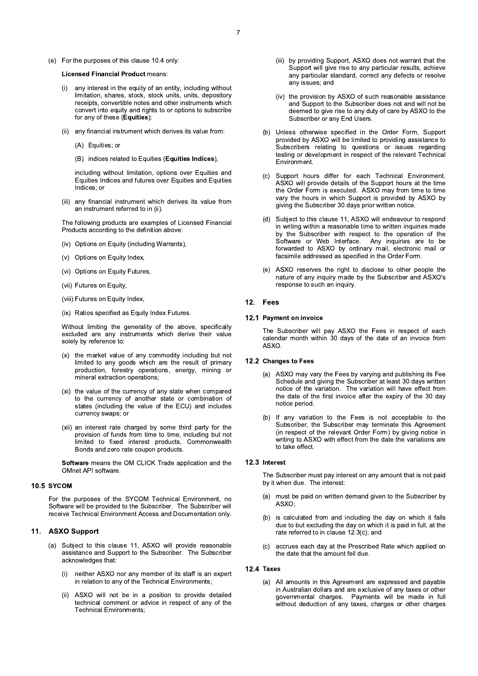(e) For the purposes of this clause 10.4 only:

# **Licensed Financial Product means:**

- any interest in the equity of an entity, including without  $(i)$ limitation, shares, stock, stock units, units, depository receipts, convertible notes and other instruments which convert into equity and rights to or options to subscribe for any of these (Equities);
- (ii) any financial instrument which derives its value from:
	- (A) Equities; or
	- (B) indices related to Equities (Equities Indices),

including without limitation, options over Equities and Equities Indices and futures over Equities and Equities Indices: or

(iii) any financial instrument which derives its value from an instrument referred to in (ii).

The following products are examples of Licensed Financial Products according to the definition above:

- (iv) Options on Equity (including Warrants),
- (v) Options on Equity Index,
- (vi) Options on Equity Futures,
- (vii) Futures on Equity,
- (viii) Futures on Equity Index,
- (ix) Ratios specified as Equity Index Futures.

Without limiting the generality of the above, specifically excluded are any instruments which derive their value solely by reference to:

- (x) the market value of any commodity including but not limited to any goods which are the result of primary production, forestry operations, energy, mining or mineral extraction operations;
- (xi) the value of the currency of any state when compared to the currency of another state or combination of states (including the value of the ECU) and includes currency swaps; or
- (xii) an interest rate charged by some third party for the provision of funds from time to time, including but not limited to fixed interest products, Commonwealth Bonds and zero rate coupon products.

Software means the OM CLICK Trade application and the OMnet API software.

# 10.5 SYCOM

For the purposes of the SYCOM Technical Environment, no Software will be provided to the Subscriber. The Subscriber will receive Technical Environment Access and Documentation only.

# 11. ASXO Support

- (a) Subject to this clause 11, ASXO will provide reasonable assistance and Support to the Subscriber. The Subscriber acknowledges that:
	- $(i)$ neither ASXO nor any member of its staff is an expert in relation to any of the Technical Environments;
	- $(ii)$ ASXO will not be in a position to provide detailed technical comment or advice in respect of any of the **Technical Environments;**
- (iii) by providing Support, ASXO does not warrant that the Support will give rise to any particular results, achieve any particular standard, correct any defects or resolve any issues; and
- (iv) the provision by ASXO of such reasonable assistance and Support to the Subscriber does not and will not be deemed to give rise to any duty of care by ASXO to the Subscriber or any End Users.
- (b) Unless otherwise specified in the Order Form, Support provided by ASXO will be limited to providing assistance to Subscribers relating to questions or issues regarding testing or development in respect of the relevant Technical Environment.
- (c) Support hours differ for each Technical Environment. ASXO will provide details of the Support hours at the time the Order Form is executed. ASXO may from time to time vary the hours in which Support is provided by ASXO by giving the Subscriber 30 days prior written notice.
- (d) Subject to this clause 11, ASXO will endeavour to respond in writing within a reasonable time to written inquiries made by the Subscriber with respect to the operation of the Software or Web Interface. Any inquiries are to be forwarded to ASXO by ordinary mail, electronic mail or facsimile addressed as specified in the Order Form.
- (e) ASXO reserves the right to disclose to other people the nature of any inquiry made by the Subscriber and ASXO's response to such an inquiry.

# 12. Fees

### 12.1 Payment on invoice

The Subscriber will pay ASXO the Fees in respect of each calendar month within 30 days of the date of an invoice from **ASXO** 

# 12.2 Changes to Fees

- (a) ASXO may vary the Fees by varying and publishing its Fee Schedule and giving the Subscriber at least 30 days written notice of the variation. The variation will have effect from the date of the first invoice after the expiry of the 30 day notice period.
- (b) If any variation to the Fees is not acceptable to the Subscriber, the Subscriber may terminate this Agreement (in respect of the relevant Order Form) by giving notice in writing to ASXO with effect from the date the variations are to take effect.

# 12.3 Interest

The Subscriber must pay interest on any amount that is not paid by it when due. The interest:

- (a) must be paid on written demand given to the Subscriber by ASXO;
- (b) is calculated from and including the day on which it falls due to but excluding the day on which it is paid in full, at the rate referred to in clause 12.3(c); and
- accrues each day at the Prescribed Rate which applied on  $(c)$ the date that the amount fell due.

### 12.4 Taxes

 $(a)$ All amounts in this Agreement are expressed and payable in Australian dollars and are exclusive of any taxes or other governmental charges. Payments will be made in full without deduction of any taxes, charges or other charges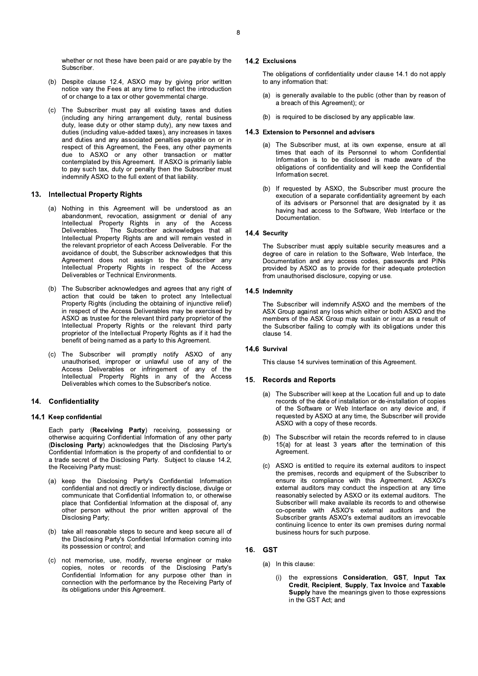whether or not these have been paid or are payable by the Subscriber.

- (b) Despite clause 12.4, ASXO may by giving prior written notice vary the Fees at any time to reflect the introduction of or change to a tax or other governmental charge.
- (c) The Subscriber must pay all existing taxes and duties (including any hiring arrangement duty, rental business duty, lease duty or other stamp duty), any new taxes and duties (including value-added taxes), any increases in taxes and duties and any associated penalties payable on or in respect of this Agreement, the Fees, any other payments due to ASXO or any other transaction or matter contemplated by this Agreement. If ASXO is primarily liable to pay such tax, duty or penalty then the Subscriber must indemnify ASXO to the full extent of that liability.

# 13. Intellectual Property Rights

- (a) Nothing in this Agreement will be understood as an abandonment, revocation, assignment or denial of any Intellectual Property Rights in any of the Access The Subscriber acknowledges that all **Deliverables** Intellectual Property Rights are and will remain vested in the relevant proprietor of each Access Deliverable. For the avoidance of doubt, the Subscriber acknowledges that this Agreement does not assign to the Subscriber any Intellectual Property Rights in respect of the Access Deliverables or Technical Environments.
- (b) The Subscriber acknowledges and agrees that any right of action that could be taken to protect any Intellectual Property Rights (including the obtaining of injunctive relief) in respect of the Access Deliverables may be exercised by ASXO as trustee for the relevant third party proprietor of the Intellectual Property Rights or the relevant third party proprietor of the Intellectual Property Rights as if it had the benefit of being named as a party to this Agreement.
- (c) The Subscriber will promptly notify ASXO of any unauthorised, improper or unlawful use of any of the Access Deliverables or infringement of any of the Intellectual Property Rights in any of the Access Deliverables which comes to the Subscriber's notice.

# 14. Confidentiality

# 14.1 Keep confidential

Each party (Receiving Party) receiving, possessing or otherwise acquiring Confidential Information of any other party (Disclosing Party) acknowledges that the Disclosing Party's Confidential Information is the property of and confidential to or a trade secret of the Disclosing Party. Subject to clause 14.2, the Receiving Party must:

- (a) keep the Disclosing Party's Confidential Information confidential and not directly or indirectly disclose, divulge or communicate that Confidential Information to, or otherwise place that Confidential Information at the disposal of, any other person without the prior written approval of the Disclosing Party;
- take all reasonable steps to secure and keep secure all of  $(b)$ the Disclosing Party's Confidential Information coming into its possession or control; and
- (c) not memorise, use, modify, reverse engineer or make<br>copies, notes or records of the Disclosing Party's Confidential Information for any purpose other than in connection with the performance by the Receiving Party of its obligations under this Agreement.

# 14.2 Exclusions

The obligations of confidentiality under clause 14.1 do not apply to any information that:

- is generally available to the public (other than by reason of  $(a)$ a breach of this Agreement); or
- is required to be disclosed by any applicable law.

### 14.3 Extension to Personnel and advisers

- (a) The Subscriber must, at its own expense, ensure at all times that each of its Personnel to whom Confidential Information is to be disclosed is made aware of the obligations of confidentiality and will keep the Confidential Information secret
- (b) If requested by ASXO, the Subscriber must procure the execution of a separate confidentiality agreement by each of its advisers or Personnel that are designated by it as having had access to the Software, Web Interface or the Documentation.

# 14.4 Security

The Subscriber must apply suitable security measures and a degree of care in relation to the Software, Web Interface, the Documentation and any access codes, passwords and PINs provided by ASXO as to provide for their adequate protection from unauthorised disclosure, copying or use.

# 14.5 Indemnity

The Subscriber will indemnify ASXO and the members of the ASX Group against any loss which either or both ASXO and the members of the ASX Group may sustain or incur as a result of the Subscriber failing to comply with its obligations under this clause 14.

### 14.6 Survival

This clause 14 survives termination of this Agreement.

## 15. Records and Reports

- (a) The Subscriber will keep at the Location full and up to date records of the date of installation or de-installation of copies of the Software or Web Interface on any device and, if requested by ASXO at any time, the Subscriber will provide ASXO with a copy of these records.
- (b) The Subscriber will retain the records referred to in clause 15(a) for at least 3 years after the termination of this Agreement.
- (c) ASXO is entitled to require its external auditors to inspect the premises, records and equipment of the Subscriber to ensure its compliance with this Agreement. ASXO's external auditors may conduct the inspection at any time reasonably selected by ASXO or its external auditors. The Subscriber will make available its records to and otherwise co-operate with ASXO's external auditors and the Subscriber grants ASXO's external auditors an irrevocable continuing licence to enter its own premises during normal business hours for such purpose.

# 16. GST

- (a) In this clause:
	- the expressions Consideration, GST, Input Tax  $(i)$ Credit, Recipient, Supply, Tax Invoice and Taxable Supply have the meanings given to those expressions in the GST Act; and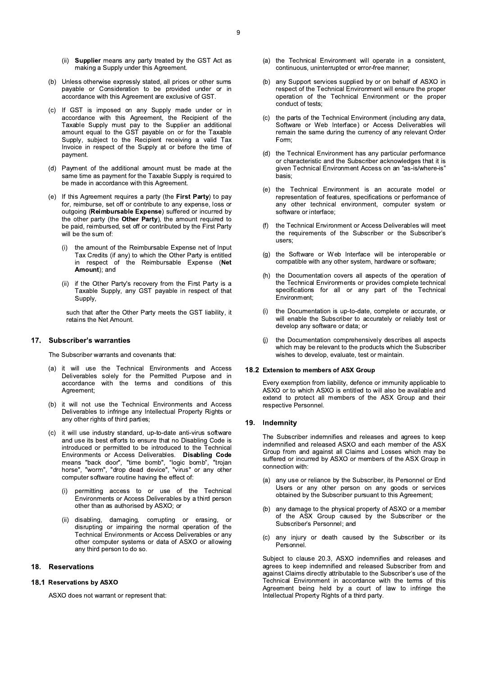- (ii) Supplier means any party treated by the GST Act as making a Supply under this Agreement.
- (b) Unless otherwise expressly stated, all prices or other sums payable or Consideration to be provided under or in accordance with this Agreement are exclusive of GST.
- (c) If GST is imposed on any Supply made under or in accordance with this Agreement, the Recipient of the Taxable Supply must pay to the Supplier an additional amount equal to the GST payable on or for the Taxable Supply, subject to the Recipient receiving a valid Tax Invoice in respect of the Supply at or before the time of payment.
- (d) Payment of the additional amount must be made at the same time as payment for the Taxable Supply is required to be made in accordance with this Agreement.
- (e) If this Agreement requires a party (the First Party) to pay for, reimburse, set off or contribute to any expense, loss or outgoing (Reimbursable Expense) suffered or incurred by the other party (the Other Party), the amount required to be paid, reimbursed, set off or contributed by the First Party will be the sum of:
	- the amount of the Reimbursable Expense net of Input  $(i)$ Tax Credits (if any) to which the Other Party is entitled in respect of the Reimbursable Expense (Net Amount); and
	- (ii) if the Other Party's recovery from the First Party is a Taxable Supply, any GST payable in respect of that Supply.

such that after the Other Party meets the GST liability, it retains the Net Amount.

# 17. Subscriber's warranties

The Subscriber warrants and covenants that:

- (a) it will use the Technical Environments and Access Deliverables solely for the Permitted Purpose and in accordance with the terms and conditions of this Agreement:
- (b) it will not use the Technical Environments and Access Deliverables to infringe any Intellectual Property Rights or any other rights of third parties;
- (c) it will use industry standard, up-to-date anti-virus software and use its best efforts to ensure that no Disabling Code is introduced or permitted to be introduced to the Technical Environments or Access Deliverables. Disabling Code<br>means "back door", "time bomb", "logic bomb", "trojan<br>horse", "worm", "drop dead device", "virus" or any other computer software routine having the effect of:
	- permitting access to or use of the Technical  $(i)$ Environments or Access Deliverables by a third person other than as authorised by ASXO; or
	- $(ii)$ disabling, damaging, corrupting or erasing, <sub>or</sub> disrupting or impairing the normal operation of the Technical Environments or Access Deliverables or any other computer systems or data of ASXO or allowing any third person to do so.

#### **Reservations** 18.

# 18.1 Reservations by ASXO

ASXO does not warrant or represent that:

- (a) the Technical Environment will operate in a consistent, continuous, uninterrupted or error-free manner:
- (b) any Support services supplied by or on behalf of ASXO in respect of the Technical Environment will ensure the proper operation of the Technical Environment or the proper conduct of tests:
- (c) the parts of the Technical Environment (including any data, Software or Web Interface) or Access Deliverables will remain the same during the currency of any relevant Order Form:
- (d) the Technical Environment has any particular performance or characteristic and the Subscriber acknowledges that it is given Technical Environment Access on an "as-is/where-is" hasis<sup>-</sup>
- (e) the Technical Environment is an accurate model or representation of features, specifications or performance of any other technical environment, computer system or software or interface;
- the Technical Environment or Access Deliverables will meet  $(f)$ the requirements of the Subscriber or the Subscriber's users:
- (g) the Software or Web Interface will be interoperable or compatible with any other system, hardware or software;
- $(h)$ the Documentation covers all aspects of the operation of the Technical Environments or provides complete technical specifications for all or any part of the Technical Environment:
- the Documentation is up-to-date, complete or accurate, or  $(i)$ will enable the Subscriber to accurately or reliably test or develop any software or data; or
- the Documentation comprehensively describes all aspects  $(i)$ which may be relevant to the products which the Subscriber wishes to develop, evaluate, test or maintain.

## 18.2 Extension to members of ASX Group

Every exemption from liability, defence or immunity applicable to ASXO or to which ASXO is entitled to will also be available and extend to protect all members of the ASX Group and their respective Personnel.

### 19. Indemnity

The Subscriber indemnifies and releases and agrees to keep indemnified and released ASXO and each member of the ASX Group from and against all Claims and Losses which may be suffered or incurred by ASXO or members of the ASX Group in connection with:

- (a) any use or reliance by the Subscriber, its Personnel or End Users or any other person on any goods or services obtained by the Subscriber pursuant to this Agreement;
- (b) any damage to the physical property of ASXO or a member of the ASX Group caused by the Subscriber or the Subscriber's Personnel; and
- $(c)$ any injury or death caused by the Subscriber or its Personnel.

Subject to clause 20.3, ASXO indemnifies and releases and agrees to keep indemnified and released Subscriber from and against Claims directly attributable to the Subscriber's use of the Technical Environment in accordance with the terms of this Agreement being held by a court of law to infringe the Intellectual Property Rights of a third party.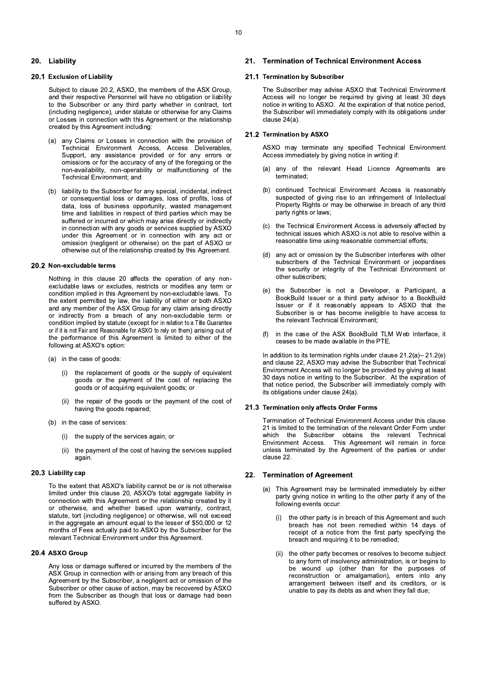# 20. Liability

# 20.1 Exclusion of Liability

Subject to clause 20.2, ASXO, the members of the ASX Group, and their respective Personnel will have no obligation or liability to the Subscriber or any third party whether in contract, tort (including negligence), under statute or otherwise for any Claims or Losses in connection with this Agreement or the relationship created by this Agreement including:

- any Claims or Losses in connection with the provision of  $(a)$ Technical Environment Access, Access Deliverables, Support, any assistance provided or for any errors or omissions or for the accuracy of any of the foregoing or the non-availability, non-operability or malfunctioning of the Technical Environment; and
- (b) liability to the Subscriber for any special, incidental, indirect or consequential loss or damages, loss of profits, loss of data, loss of business opportunity, wasted management time and liabilities in respect of third parties which may be suffered or incurred or which may arise directly or indirectly in connection with any goods or services supplied by ASXO under this Agreement or in connection with any act or omission (negligent or otherwise) on the part of ASXO or otherwise out of the relationship created by this Agreement.

### 20.2 Non-excludable terms

Nothing in this clause 20 affects the operation of any nonexcludable laws or excludes, restricts or modifies any term or condition implied in this Agreement by non-excludable laws. To the extent permitted by law, the liability of either or both ASXO and any member of the ASX Group for any claim arising directly or indirectly from a breach of any non-excludable term or condition implied by statute (except for in relation to a Title Guarantee or if it is not Fair and Reasonable for ASXO to rely on them) arising out of the performance of this Agreement is limited to either of the following at ASXO's option:

- (a) in the case of goods:
	- (i) the replacement of goods or the supply of equivalent goods or the payment of the cost of replacing the goods or of acquiring equivalent goods; or
	- the repair of the goods or the payment of the cost of having the goods repaired;
- (b) in the case of services:
	- (i) the supply of the services again; or
	- $(ii)$ the payment of the cost of having the services supplied again.

# 20.3 Liability cap

To the extent that ASXO's liability cannot be or is not otherwise limited under this clause 20, ASXO's total aggregate liability in connection with this Agreement or the relationship created by it or otherwise, and whether based upon warranty, contract, statute, tort (including negligence) or otherwise, will not exceed in the aggregate an amount equal to the lesser of \$50,000 or 12 months of Fees actually paid to ASXO by the Subscriber for the relevant Technical Environment under this Agreement.

# 20.4 ASXO Group

Any loss or damage suffered or incurred by the members of the ASX Group in connection with or arising from any breach of this Agreement by the Subscriber, a negligent act or omission of the Subscriber or other cause of action, may be recovered by ASXO from the Subscriber as though that loss or damage had been suffered by ASXO.

#### **Termination of Technical Environment Access**  $21$

## 21.1 Termination by Subscriber

The Subscriber may advise ASXO that Technical Environment Access will no longer be required by giving at least 30 days notice in writing to ASXO. At the expiration of that notice period, the Subscriber will immediately comply with its obligations under clause 24(a).

# 21.2 Termination by ASXO

ASXO may terminate any specified Technical Environment Access immediately by giving notice in writing if:

- any of the relevant Head Licence Agreements are  $(a)$ terminated:
- continued Technical Environment Access is reasonably  $(b)$ suspected of giving rise to an infringement of Intellectual Property Rights or may be otherwise in breach of any third party rights or laws;
- the Technical Environment Access is adversely affected by  $(c)$ technical issues which ASXO is not able to resolve within a reasonable time using reasonable commercial efforts;
- (d) any act or omission by the Subscriber interferes with other subscribers of the Technical Environment or jeopardises the security or integrity of the Technical Environment or other subscribers;
- (e) the Subscriber is not a Developer, a Participant, a BookBuild Issuer or a third party advisor to a BookBuild Issuer or if it reasonably appears to ASXO that the Subscriber is or has become ineligible to have access to the relevant Technical Environment;
- in the case of the ASX BookBuild TLM Web Interface, it  $(f)$ ceases to be made available in the PTE.

In addition to its termination rights under clause 21.2(a)-21.2(e) and clause 22, ASXO may advise the Subscriber that Technical Environment Access will no longer be provided by giving at least 30 days notice in writing to the Subscriber. At the expiration of that notice period, the Subscriber will immediately comply with its obligations under clause 24(a).

# 21.3 Termination only affects Order Forms

Termination of Technical Environment Access under this clause 21 is limited to the termination of the relevant Order Form under which the Subscriber obtains the relevant Technical Environment Access. This Agreement will remain in force unless terminated by the Agreement of the parties or under clause 22.

# 22. Termination of Agreement

- (a) This Agreement may be terminated immediately by either party giving notice in writing to the other party if any of the following events occur:
	- the other party is in breach of this Agreement and such  $(i)$ breach has not been remedied within 14 days of receipt of a notice from the first party specifying the breach and requiring it to be remedied;
	- (ii) the other party becomes or resolves to become subject to any form of insolvency administration, is or begins to be wound up (other than for the purposes of reconstruction or amalgamation), enters into any arrangement between itself and its creditors, or is unable to pay its debts as and when they fall due;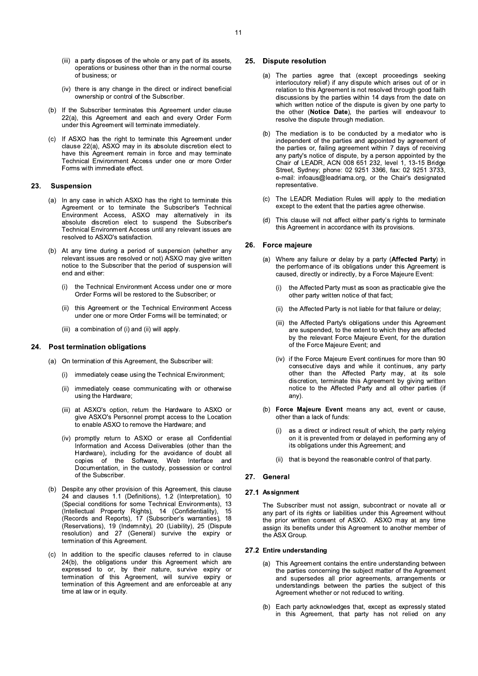- (iii) a party disposes of the whole or any part of its assets, operations or business other than in the normal course of business: or
- (iv) there is any change in the direct or indirect beneficial ownership or control of the Subscriber.
- (b) If the Subscriber terminates this Agreement under clause 22(a), this Agreement and each and every Order Form under this Agreement will terminate immediately.
- (c) If ASXO has the right to terminate this Agreement under clause 22(a), ASXO may in its absolute discretion elect to have this Agreement remain in force and may terminate Technical Environment Access under one or more Order Forms with immediate effect.

#### 23. **Suspension**

- (a) In any case in which ASXO has the right to terminate this Agreement or to terminate the Subscriber's Technical Environment Access, ASXO may alternatively in its absolute discretion elect to suspend the Subscriber's Technical Environment Access until any relevant issues are resolved to ASXO's satisfaction.
- (b) At any time during a period of suspension (whether any relevant issues are resolved or not) ASXO may give written notice to the Subscriber that the period of suspension will end and either:
	- the Technical Environment Access under one or more  $(i)$ Order Forms will be restored to the Subscriber; or
	- $(ii)$ this Agreement or the Technical Environment Access under one or more Order Forms will be terminated; or
	- (iii) a combination of (i) and (ii) will apply.

# 24. Post termination obligations

- (a) On termination of this Agreement, the Subscriber will:
	- immediately cease using the Technical Environment;  $(i)$
	- immediately cease communicating with or otherwise  $(ii)$ using the Hardware;
	- (iii) at ASXO's option, return the Hardware to ASXO or give ASXO's Personnel prompt access to the Location to enable ASXO to remove the Hardware; and
	- (iv) promptly return to ASXO or erase all Confidential Information and Access Deliverables (other than the Hardware), including for the avoidance of doubt all copies of the Software, Web Interface and Documentation, in the custody, possession or control of the Subscriber.
- (b) Despite any other provision of this Agreement, this clause 24 and clauses 1.1 (Definitions), 1.2 (Interpretation), 10 (Special conditions for some Technical Environments), 13 (Intellectual Property Rights), 14 (Confidentiality), 15 (Records and Reports), 17 (Subscriber's warranties), 18 (Reservations), 19 (Indemnity), 20 (Liability), 25 (Dispute resolution) and 27 (General) survive the expiry or termination of this Agreement.
- In addition to the specific clauses referred to in clause  $(c)$ 24(b), the obligations under this Agreement which are expressed to or, by their nature, survive expiry or termination of this Agreement, will survive expiry or<br>termination of this Agreement, will survive expiry or time at law or in equity.

# 25. Dispute resolution

- (a) The parties agree that (except proceedings seeking interlocutory relief) if any dispute which arises out of or in relation to this Agreement is not resolved through good faith discussions by the parties within 14 days from the date on which written notice of the dispute is given by one party to the other (Notice Date), the parties will endeavour to resolve the dispute through mediation.
- (b) The mediation is to be conducted by a mediator who is independent of the parties and appointed by agreement of the parties or, failing agreement within 7 days of receiving any party's notice of dispute, by a person appointed by the Chair of LEADR, ACN 008 651 232, level 1, 13-15 Bridge Street, Sydney; phone: 02 9251 3366, fax: 02 9251 3733, e-mail: infoaus@leadriama.org, or the Chair's designated representative.
- (c) The LEADR Mediation Rules will apply to the mediation except to the extent that the parties agree otherwise.
- This clause will not affect either party's rights to terminate  $(d)$ this Agreement in accordance with its provisions.

### 26. Force majeure

- (a) Where any failure or delay by a party (Affected Party) in the performance of its obligations under this Agreement is caused, directly or indirectly, by a Force Majeure Event:
	- $(i)$ the Affected Party must as soon as practicable give the other party written notice of that fact:
	- (ii) the Affected Party is not liable for that failure or delay;
	- (iii) the Affected Party's obligations under this Agreement are suspended, to the extent to which they are affected by the relevant Force Majeure Event, for the duration of the Force Majeure Event; and
	- (iv) if the Force Maieure Event continues for more than 90 consecutive days and while it continues, any party other than the Affected Party may, at its sole discretion, terminate this Agreement by giving written notice to the Affected Party and all other parties (if any).
- (b) Force Majeure Event means any act, event or cause, other than a lack of funds:
	- as a direct or indirect result of which, the party relying  $(i)$ on it is prevented from or delayed in performing any of its obligations under this Agreement; and
	- $(iii)$ that is beyond the reasonable control of that party.

### 27. General

### 27.1 Assignment

The Subscriber must not assign, subcontract or novate all or any part of its rights or liabilities under this Agreement without the prior written consent of ASXO. ASXO may at any time assign its benefits under this Agreement to another member of the ASX Group.

## 27.2 Entire understanding

- (a) This Agreement contains the entire understanding between the parties concerning the subject matter of the Agreement and supersedes all prior agreements, arrangements or understandings between the parties the subject of this Agreement whether or not reduced to writing.
- (b) Each party acknowledges that, except as expressly stated in this Agreement, that party has not relied on any